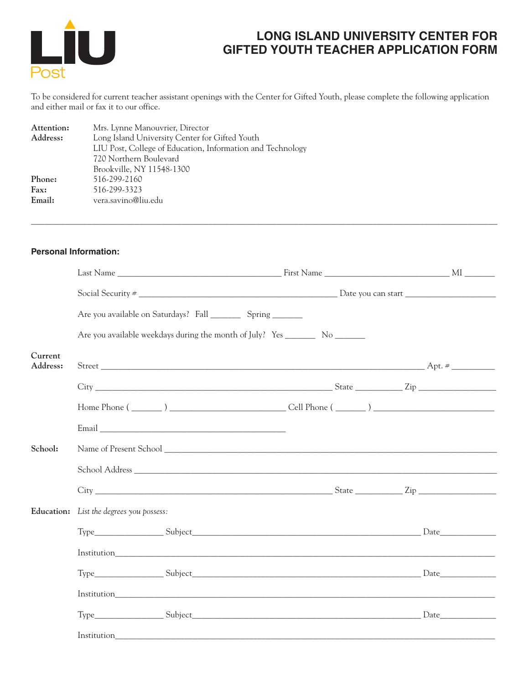

## **LONG ISLAND UNIVERSITY CENTER FOR GIFTED YOUTH TEACHER APPLICATION FORM**

To be considered for current teacher assistant openings with the Center for Gifted Youth, please complete the following application and either mail or fax it to our office.

| Attention: | Mrs. Lynne Manouvrier, Director                            |
|------------|------------------------------------------------------------|
| Address:   | Long Island University Center for Gifted Youth             |
|            | LIU Post, College of Education, Information and Technology |
|            | 720 Northern Boulevard                                     |
|            | Brookville, NY 11548-1300                                  |
| Phone:     | 516-299-2160                                               |
| Fax:       | 516-299-3323                                               |
| Email:     | vera.savino@liu.edu                                        |
|            |                                                            |

## **Personal Information:**

|                     |                                          | Social Security #                                                                |  |  |
|---------------------|------------------------------------------|----------------------------------------------------------------------------------|--|--|
|                     |                                          | Are you available on Saturdays? Fall ____________ Spring _________               |  |  |
|                     |                                          | Are you available weekdays during the month of July? Yes __________ No _________ |  |  |
| Current<br>Address: |                                          |                                                                                  |  |  |
|                     |                                          |                                                                                  |  |  |
|                     |                                          |                                                                                  |  |  |
|                     |                                          |                                                                                  |  |  |
| School:             |                                          |                                                                                  |  |  |
|                     |                                          |                                                                                  |  |  |
|                     |                                          | $\text{City}$ $\text{City}$ $\text{Zip}$                                         |  |  |
|                     | Education: List the degrees you possess: |                                                                                  |  |  |
|                     |                                          |                                                                                  |  |  |
|                     |                                          |                                                                                  |  |  |
|                     |                                          |                                                                                  |  |  |
|                     |                                          |                                                                                  |  |  |
|                     |                                          |                                                                                  |  |  |
|                     |                                          |                                                                                  |  |  |